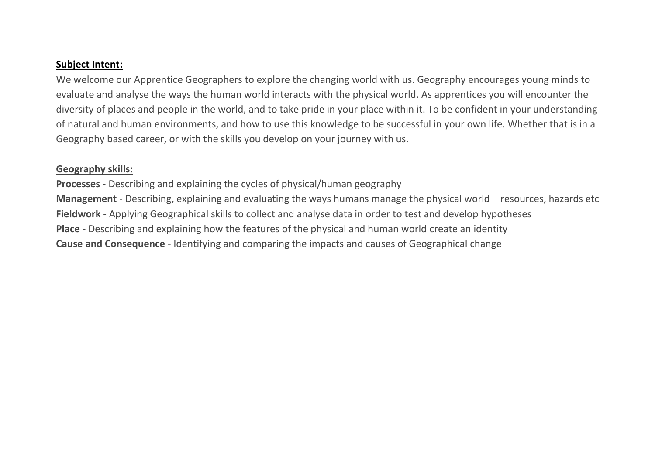## **Subject Intent:**

We welcome our Apprentice Geographers to explore the changing world with us. Geography encourages young minds to evaluate and analyse the ways the human world interacts with the physical world. As apprentices you will encounter the diversity of places and people in the world, and to take pride in your place within it. To be confident in your understanding of natural and human environments, and how to use this knowledge to be successful in your own life. Whether that is in a Geography based career, or with the skills you develop on your journey with us.

## **Geography skills:**

**Processes** - Describing and explaining the cycles of physical/human geography **Management** - Describing, explaining and evaluating the ways humans manage the physical world – resources, hazards etc **Fieldwork** - Applying Geographical skills to collect and analyse data in order to test and develop hypotheses **Place** - Describing and explaining how the features of the physical and human world create an identity **Cause and Consequence** - Identifying and comparing the impacts and causes of Geographical change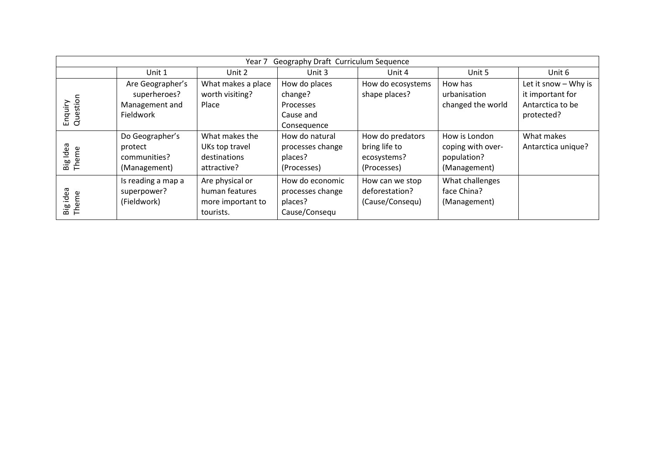| Geography Draft Curriculum Sequence<br>Year 7 |                                   |                                   |                                     |                                   |                                |                      |  |  |
|-----------------------------------------------|-----------------------------------|-----------------------------------|-------------------------------------|-----------------------------------|--------------------------------|----------------------|--|--|
|                                               | Unit 1                            | Unit 2                            | Unit 3                              | Unit 4                            | Unit 5                         | Unit 6               |  |  |
| Enquiry<br>Question                           | Are Geographer's                  | What makes a place                | How do places                       | How do ecosystems                 | How has                        | Let it snow - Why is |  |  |
|                                               | superheroes?                      | worth visiting?                   | change?                             | shape places?                     | urbanisation                   | it important for     |  |  |
|                                               | Management and                    | Place                             | <b>Processes</b>                    |                                   | changed the world              | Antarctica to be     |  |  |
|                                               | Fieldwork                         |                                   | Cause and                           |                                   |                                | protected?           |  |  |
|                                               |                                   |                                   | Consequence                         |                                   |                                |                      |  |  |
| Big Idea<br>Theme                             | Do Geographer's                   | What makes the                    | How do natural                      | How do predators                  | How is London                  | What makes           |  |  |
|                                               | protect                           | UKs top travel                    | processes change                    | bring life to                     | coping with over-              | Antarctica unique?   |  |  |
|                                               | communities?                      | destinations                      | places?                             | ecosystems?                       | population?                    |                      |  |  |
|                                               | (Management)                      | attractive?                       | (Processes)                         | (Processes)                       | (Management)                   |                      |  |  |
| Big idea<br>Theme                             | Is reading a map a<br>superpower? | Are physical or<br>human features | How do economic<br>processes change | How can we stop<br>deforestation? | What challenges<br>face China? |                      |  |  |
|                                               | (Fieldwork)                       | more important to                 | places?                             | (Cause/Consequ)                   | (Management)                   |                      |  |  |
|                                               |                                   | tourists.                         | Cause/Consequ                       |                                   |                                |                      |  |  |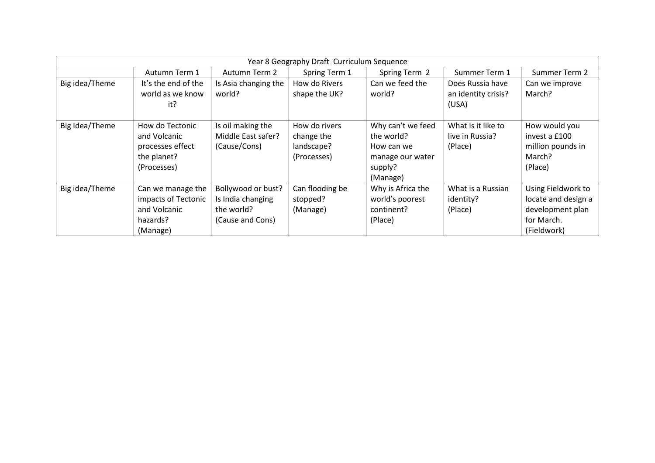| Year 8 Geography Draft Curriculum Sequence |                                                                                   |                                                                           |                                                          |                                                                                          |                                                  |                                                                                            |  |
|--------------------------------------------|-----------------------------------------------------------------------------------|---------------------------------------------------------------------------|----------------------------------------------------------|------------------------------------------------------------------------------------------|--------------------------------------------------|--------------------------------------------------------------------------------------------|--|
|                                            | Autumn Term 1                                                                     | Autumn Term 2                                                             | Spring Term 1                                            | Spring Term 2                                                                            | Summer Term 1                                    | Summer Term 2                                                                              |  |
| Big idea/Theme                             | It's the end of the<br>world as we know<br>it?                                    | Is Asia changing the<br>world?                                            | How do Rivers<br>shape the UK?                           | Can we feed the<br>world?                                                                | Does Russia have<br>an identity crisis?<br>(USA) | Can we improve<br>March?                                                                   |  |
| Big Idea/Theme                             | How do Tectonic<br>and Volcanic<br>processes effect<br>the planet?<br>(Processes) | Is oil making the<br>Middle East safer?<br>(Cause/Cons)                   | How do rivers<br>change the<br>landscape?<br>(Processes) | Why can't we feed<br>the world?<br>How can we<br>manage our water<br>supply?<br>(Manage) | What is it like to<br>live in Russia?<br>(Place) | How would you<br>invest a £100<br>million pounds in<br>March?<br>(Place)                   |  |
| Big idea/Theme                             | Can we manage the<br>impacts of Tectonic<br>and Volcanic<br>hazards?<br>(Manage)  | Bollywood or bust?<br>Is India changing<br>the world?<br>(Cause and Cons) | Can flooding be<br>stopped?<br>(Manage)                  | Why is Africa the<br>world's poorest<br>continent?<br>(Place)                            | What is a Russian<br>identity?<br>(Place)        | Using Fieldwork to<br>locate and design a<br>development plan<br>for March.<br>(Fieldwork) |  |